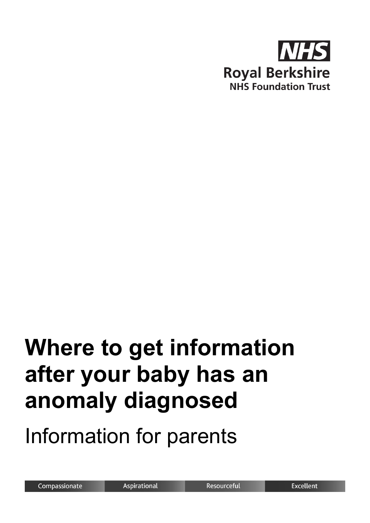

# **Where to get information after your baby has an anomaly diagnosed**

Information for parents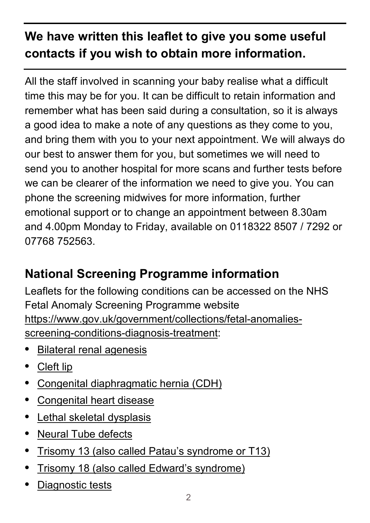## **We have written this leaflet to give you some useful contacts if you wish to obtain more information.**

All the staff involved in scanning your baby realise what a difficult time this may be for you. It can be difficult to retain information and remember what has been said during a consultation, so it is always a good idea to make a note of any questions as they come to you, and bring them with you to your next appointment. We will always do our best to answer them for you, but sometimes we will need to send you to another hospital for more scans and further tests before we can be clearer of the information we need to give you. You can phone the screening midwives for more information, further emotional support or to change an appointment between 8.30am and 4.00pm Monday to Friday, available on 0118322 8507 / 7292 or 07768 752563.

### **National Screening Programme information**

Leaflets for the following conditions can be accessed on the NHS Fetal Anomaly Screening Programme website [https://www.gov.uk/government/collections/fetal-anomalies](https://www.gov.uk/government/collections/fetal-anomalies-screening-conditions-diagnosis-treatment)[screening-conditions-diagnosis-treatment:](https://www.gov.uk/government/collections/fetal-anomalies-screening-conditions-diagnosis-treatment)

- **•** [Bilateral renal agenesis](https://www.gov.uk/government/collections/fetal-anomalies-screening-conditions-diagnosis-treatment#bilateral-renal-agenesis)
- **•** [Cleft lip](https://www.gov.uk/government/collections/fetal-anomalies-screening-conditions-diagnosis-treatment#cleft-lip)
- **•** [Congenital diaphragmatic hernia \(CDH\)](https://www.gov.uk/government/collections/fetal-anomalies-screening-conditions-diagnosis-treatment#congenital-diaphragmatic-hernia-(cdh))
- **•** [Congenital heart disease](https://www.gov.uk/government/collections/fetal-anomalies-screening-conditions-diagnosis-treatment#congenital-heart-disease)
- **•** [Lethal skeletal dysplasis](https://www.gov.uk/government/collections/fetal-anomalies-screening-conditions-diagnosis-treatment#lethal-skeletal-dysplasia)
- **•** [Neural Tube defects](https://www.gov.uk/government/collections/fetal-anomalies-screening-conditions-diagnosis-treatment#neural-tube-defects)
- **•** [Trisomy 13 \(also called Patau's syndrome or T13\)](https://www.gov.uk/government/collections/fetal-anomalies-screening-conditions-diagnosis-treatment#trisomy-13)
- **•** [Trisomy 18 \(also called Edward's syndrome\)](https://www.gov.uk/government/collections/fetal-anomalies-screening-conditions-diagnosis-treatment#trisomy-18)
- **•** [Diagnostic tests](https://www.gov.uk/government/collections/fetal-anomalies-screening-conditions-diagnosis-treatment#diagnostic-tests)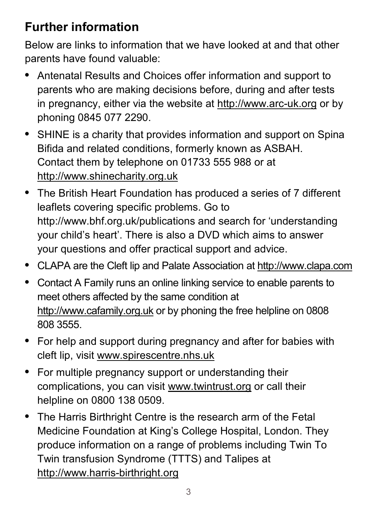#### **Further information**

Below are links to information that we have looked at and that other parents have found valuable:

- **•** Antenatal Results and Choices offer information and support to parents who are making decisions before, during and after tests in pregnancy, either via the website at [http://www.arc-uk.org](http://www.arc-uk.org/) or by phoning 0845 077 2290.
- **•** SHINE is a charity that provides information and support on Spina Bifida and related conditions, formerly known as ASBAH. Contact them by telephone on 01733 555 988 or at [http://www.shinecharity.org.uk](http://www.shinecharity.org.uk/)
- **•** The British Heart Foundation has produced a series of 7 different leaflets covering specific problems. Go to http://www.bhf.org.uk/publications and search for 'understanding your child's heart'. There is also a DVD which aims to answer your questions and offer practical support and advice.
- **•** CLAPA are the Cleft lip and Palate Association at [http://www.clapa.com](http://www.clapa.com/)
- **•** Contact A Family runs an online linking service to enable parents to meet others affected by the same condition at [http://www.cafamily.org.uk](http://www.cafamily.org.uk/) or by phoning the free helpline on 0808 808 3555.
- **•** For help and support during pregnancy and after for babies with cleft lip, visit [www.spirescentre.nhs.uk](http://www.spirescentre.nhs.uk/)
- **•** For multiple pregnancy support or understanding their complications, you can visit [www.twintrust.org](http://www.twintrust.org/) or call their helpline on 0800 138 0509.
- **•** The Harris Birthright Centre is the research arm of the Fetal Medicine Foundation at King's College Hospital, London. They produce information on a range of problems including Twin To Twin transfusion Syndrome (TTTS) and Talipes at [http://www.harris-birthright.org](http://www.harris-birthright.org/)